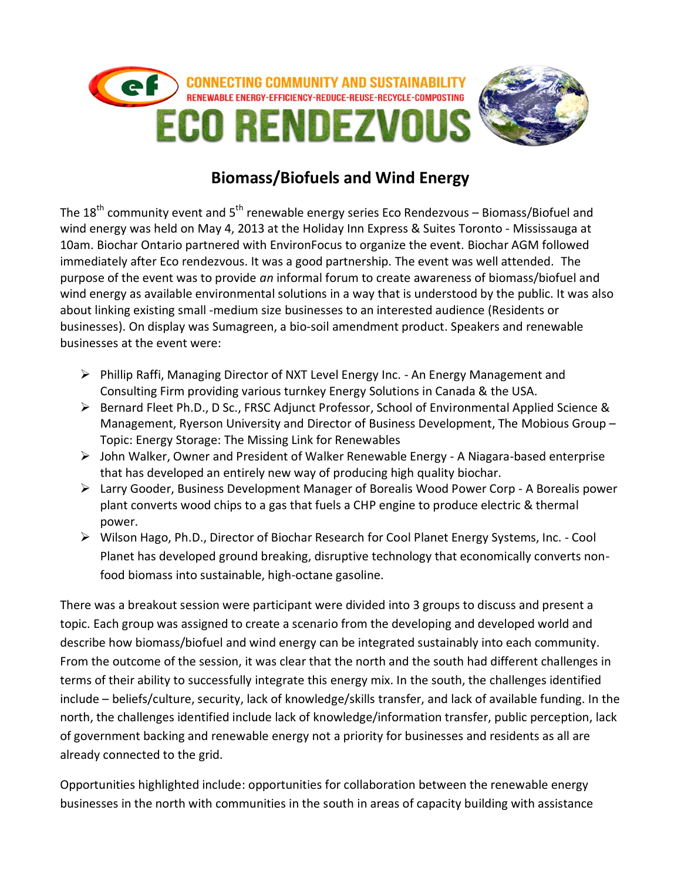

## **Biomass/Biofuels and Wind Energy**

The 18<sup>th</sup> community event and 5<sup>th</sup> renewable energy series Eco Rendezvous – Biomass/Biofuel and wind energy was held on May 4, 2013 at the Holiday Inn Express & Suites Toronto - Mississauga at 10am. Biochar Ontario partnered with EnvironFocus to organize the event. Biochar AGM followed immediately after Eco rendezvous. It was a good partnership. The event was well attended. The purpose of the event was to provide *an* informal forum to create awareness of biomass/biofuel and wind energy as available environmental solutions in a way that is understood by the public. It was also about linking existing small -medium size businesses to an interested audience (Residents or businesses). On display was Sumagreen, a bio-soil amendment product. Speakers and renewable businesses at the event were:

- Phillip Raffi, Managing Director of NXT Level Energy Inc. An Energy Management and Consulting Firm providing various turnkey Energy Solutions in Canada & the USA.
- $\triangleright$  Bernard Fleet Ph.D., D Sc., FRSC Adjunct Professor, School of Environmental Applied Science & Management, Ryerson University and Director of Business Development, The Mobious Group – Topic: Energy Storage: The Missing Link for Renewables
- John Walker, Owner and President of Walker Renewable Energy A Niagara-based enterprise that has developed an entirely new way of producing high quality biochar.
- Larry Gooder, Business Development Manager of Borealis Wood Power Corp A Borealis power plant converts wood chips to a gas that fuels a CHP engine to produce electric & thermal power.
- Wilson Hago, Ph.D., Director of Biochar Research for Cool Planet Energy Systems, Inc. Cool Planet has developed ground breaking, disruptive technology that economically converts nonfood biomass into sustainable, high-octane gasoline.

There was a breakout session were participant were divided into 3 groups to discuss and present a topic. Each group was assigned to create a scenario from the developing and developed world and describe how biomass/biofuel and wind energy can be integrated sustainably into each community. From the outcome of the session, it was clear that the north and the south had different challenges in terms of their ability to successfully integrate this energy mix. In the south, the challenges identified include – beliefs/culture, security, lack of knowledge/skills transfer, and lack of available funding. In the north, the challenges identified include lack of knowledge/information transfer, public perception, lack of government backing and renewable energy not a priority for businesses and residents as all are already connected to the grid.

Opportunities highlighted include: opportunities for collaboration between the renewable energy businesses in the north with communities in the south in areas of capacity building with assistance